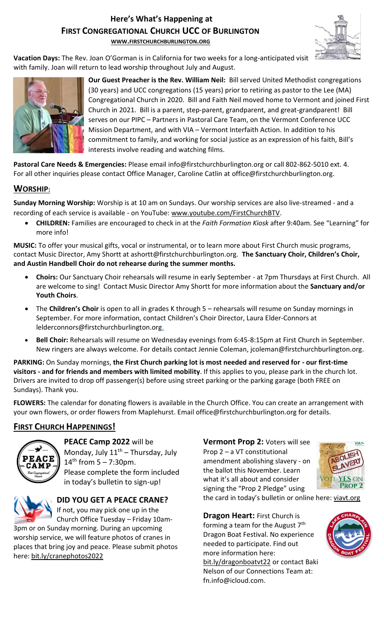# **Here's What's Happening at FIRST CONGREGATIONAL CHURCH UCC OF BURLINGTON**

**WWW.[FIRSTCHURCHBURLINGTON](http://www.firstchurchburlington.org/).ORG**



**Vacation Days:** The Rev. Joan O'Gorman is in California for two weeks for a long-anticipated visit with family. Joan will return to lead worship throughout July and August.



**Our Guest Preacher is the Rev. William Neil:** Bill served United Methodist congregations (30 years) and UCC congregations (15 years) prior to retiring as pastor to the Lee (MA) Congregational Church in 2020. Bill and Faith Neil moved home to Vermont and joined First Church in 2021. Bill is a parent, step-parent, grandparent, and great-grandparent! Bill serves on our PIPC – Partners in Pastoral Care Team, on the Vermont Conference UCC Mission Department, and with VIA – Vermont Interfaith Action. In addition to his commitment to family, and working for social justice as an expression of his faith, Bill's interests involve reading and watching films.

**Pastoral Care Needs & Emergencies:** Please email info@firstchurchburlington.org or call 802-862-5010 ext. 4. For all other inquiries please contact Office Manager, Caroline Catlin at office@firstchurchburlington.org.

# **WORSHIP:**

**Sunday Morning Worship:** Worship is at 10 am on Sundays. Our worship services are also live-streamed - and a recording of each service is available - on YouTube: [www.youtube.com/FirstChurchBTV.](http://www.youtube.com/FirstChurchBTV)

• **CHILDREN:** Families are encouraged to check in at the *Faith Formation Kiosk* after 9:40am. See "Learning" for more info!

**MUSIC:** To offer your musical gifts, vocal or instrumental, or to learn more about First Church music programs, contact Music Director, Amy Shortt at ashortt@firstchurchburlington.org. **The Sanctuary Choir, Children's Choir, and Austin Handbell Choir do not rehearse during the summer months.**

- **Choirs:** Our Sanctuary Choir rehearsals will resume in early September at 7pm Thursdays at First Church. All are welcome to sing! Contact Music Director Amy Shortt for more information about the **Sanctuary and/or Youth Choirs**.
- The **Children's Choir** is open to all in grades K through 5 rehearsals will resume on Sunday mornings in September. For more information, contact Children's Choir Director, Laura Elder-Connors at lelderconnors@firstchurchburlington.org.
- **Bell Choir:** Rehearsals will resume on Wednesday evenings from 6:45-8:15pm at First Church in September. New ringers are always welcome. For details contact Jennie Coleman, [jcoleman@firstchurchburlington.org.](mailto:jcoleman@firstchurchburlington.org)

**PARKING:** On Sunday mornings, **the First Church parking lot is most needed and reserved for - our first-time visitors - and for friends and members with limited mobility**. If this applies to you, please park in the church lot. Drivers are invited to drop off passenger(s) before using street parking or the parking garage (both FREE on Sundays). Thank you.

**FLOWERS:** The calendar for donating flowers is available in the Church Office. You can create an arrangement with your own flowers, or order flowers from Maplehurst. Email office@firstchurchburlington.org for details.

# **FIRST CHURCH HAPPENINGS!**



**PEACE Camp 2022** will be Monday, July  $11<sup>th</sup>$  – Thursday, July 14<sup>th</sup> from 5 – 7:30pm. Please complete the form included in today's bulletin to sign-up!

**DID YOU GET A PEACE CRANE?** If not, you may pick one up in the Church Office Tuesday – Friday 10am-

3pm or on Sunday morning. During an upcoming worship service, we will feature photos of cranes in places that bring joy and peace. Please submit photos here: [bit.ly/cranephotos2022](https://bit.ly/cranephotos2022)

**Vermont Prop 2:** Voters will see Prop 2 – a VT constitutional amendment abolishing slavery - on the ballot this November. Learn what it's all about and consider signing the "Prop 2 Pledge" using the card in today's bulletin or online here: viavt.org



**Dragon Heart:** First Church is forming a team for the August  $7<sup>th</sup>$ Dragon Boat Festival. No experience needed to participate. Find out more information here: bit.ly/dragonboatvt22 or contact Baki Nelson of our Connections Team at: fn.info@icloud.com.